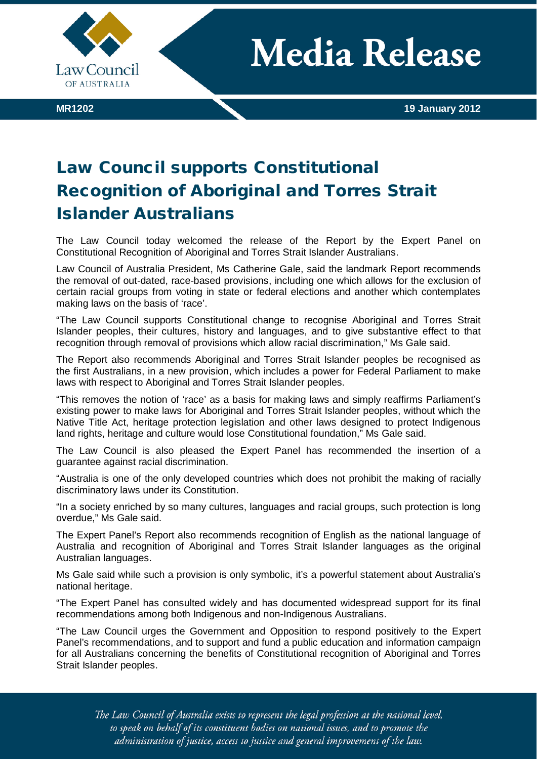

**Media Release** 

## Law Council supports Constitutional Recognition of Aboriginal and Torres Strait Islander Australians

The Law Council today welcomed the release of the Report by the Expert Panel on Constitutional Recognition of Aboriginal and Torres Strait Islander Australians.

Law Council of Australia President, Ms Catherine Gale, said the landmark Report recommends the removal of out-dated, race-based provisions, including one which allows for the exclusion of certain racial groups from voting in state or federal elections and another which contemplates making laws on the basis of 'race'.

"The Law Council supports Constitutional change to recognise Aboriginal and Torres Strait Islander peoples, their cultures, history and languages, and to give substantive effect to that recognition through removal of provisions which allow racial discrimination," Ms Gale said.

The Report also recommends Aboriginal and Torres Strait Islander peoples be recognised as the first Australians, in a new provision, which includes a power for Federal Parliament to make laws with respect to Aboriginal and Torres Strait Islander peoples.

"This removes the notion of 'race' as a basis for making laws and simply reaffirms Parliament's existing power to make laws for Aboriginal and Torres Strait Islander peoples, without which the Native Title Act, heritage protection legislation and other laws designed to protect Indigenous land rights, heritage and culture would lose Constitutional foundation," Ms Gale said.

The Law Council is also pleased the Expert Panel has recommended the insertion of a guarantee against racial discrimination.

"Australia is one of the only developed countries which does not prohibit the making of racially discriminatory laws under its Constitution.

"In a society enriched by so many cultures, languages and racial groups, such protection is long overdue," Ms Gale said.

The Expert Panel's Report also recommends recognition of English as the national language of Australia and recognition of Aboriginal and Torres Strait Islander languages as the original Australian languages.

Ms Gale said while such a provision is only symbolic, it's a powerful statement about Australia's national heritage.

"The Expert Panel has consulted widely and has documented widespread support for its final recommendations among both Indigenous and non-Indigenous Australians.

"The Law Council urges the Government and Opposition to respond positively to the Expert Panel's recommendations, and to support and fund a public education and information campaign for all Australians concerning the benefits of Constitutional recognition of Aboriginal and Torres Strait Islander peoples.

The Law Council of Australia exists to represent the legal profession at the national level, to speak on behalf of its constituent bodies on national issues, and to promote the administration of justice, access to justice and general improvement of the law.